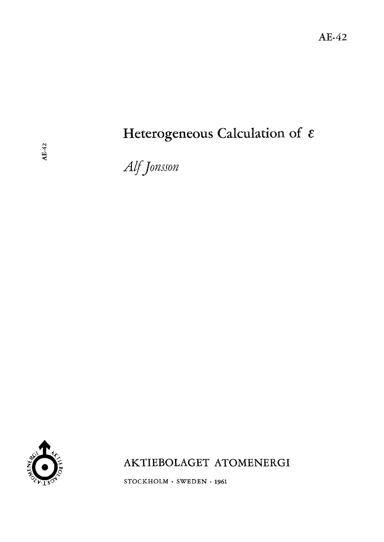# Heterogeneous Calculation of  $\varepsilon$

Alf Jonsson



AKTIEBOLAGET ATOMENERGI

 $STOCKHOLM$  · SWEDEN · 1961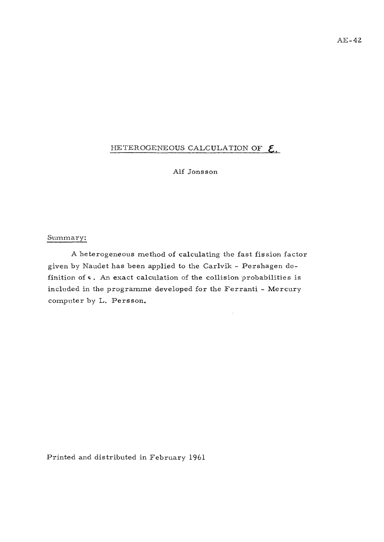### HETEROGENEOUS CALCULATION OF  $E$ .

Alf Jonsson

#### Summary:

A heterogeneous method of calculating the fast fission factor given by Naudet has been applied to the Carlvik - Pershagen definition of  $\epsilon$ . An exact calculation of the collision probabilities is included in the programme developed for the Ferranti - Mercury computer by L. Persson.

Printed and distributed in February 1961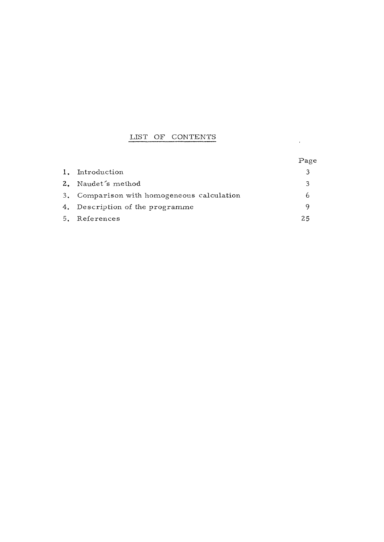### LIST OF CONTENTS

|    |                                            | Page |
|----|--------------------------------------------|------|
| 1. | Introduction                               | Β    |
|    | 2. Naudet's method                         | 3    |
|    | 3. Comparison with homogeneous calculation | h    |
|    | 4. Description of the programme            | Q    |
|    | 5. References                              | 25   |

 $\mathcal{L}(\mathcal{L}^{\mathcal{L}})$  and  $\mathcal{L}(\mathcal{L}^{\mathcal{L}})$  .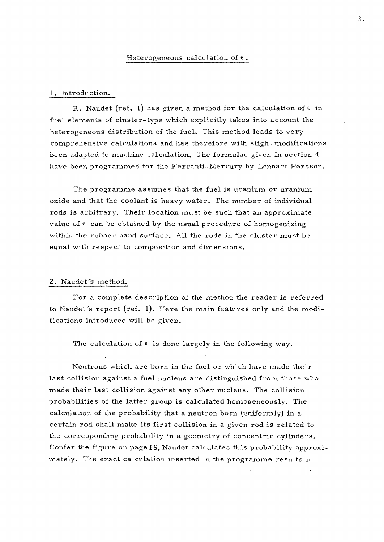#### 1. Introduction.

R. Naudet (ref. 1) has given a method for the calculation of  $\epsilon$  in fuel elements of cluster-type which explicitly takes into account the heterogeneous distribution of the fuel. This method leads to very comprehensive calculations and has therefore with slight modifications been adapted to machine calculation. The formulae given in section 4 have been programmed for the Ferranti-Mercury by Lennart Persson.

The programme assumes that the fuel is uranium or uranium oxide and that the coolant is heavy water. The number of individual rods is arbitrary. Their location must be such that an approximate value of  $\epsilon$  can be obtained by the usual procedure of homogenizing within the rubber band surface. All the rods in the cluster must be equal with respect to composition and dimensions.

#### 2. Naudet's method.

For a complete description of the method the reader is referred to Naudet's report (ref. 1). Here the main features only and the modifications introduced will be given.

The calculation of  $\epsilon$  is done largely in the following way.

Neutrons which are born in the fuel or which have made their last collision against a fuel nucleus are distinguished from those who made their last collision against any other nucleus. The collision probabilities of the latter group is calculated homogeneously. The calculation of the probability that a neutron born (uniformly) in a certain rod shall make its first collision in a given rod is related to the corresponding probability in a geometry of concentric cylinders. Confer the figure on page 15. Naudet calculates this probability approximately. The exact calculation inserted in the programme results in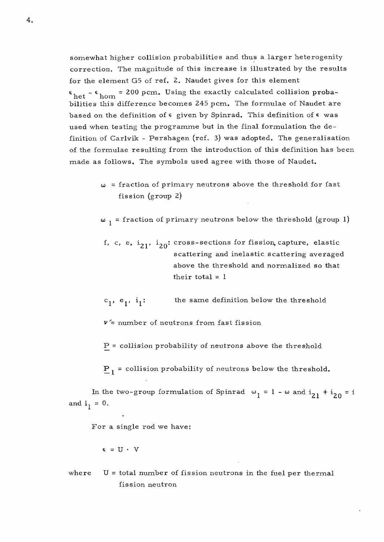somewhat higher collision probabilities and thus a larger heterogenity correction. The magnitude of this increase is illustrated by the results for the element G5 of ref. 2. Naudet gives for this element  $\epsilon_{\text{het}}$  -  $\epsilon_{\text{hom}}$  = 200 pcm. Using the exactly calculated collision probabilities this difference becomes 245 pcm. The formulae of Naudet are based on the definition of  $\epsilon$  given by Spinrad. This definition of  $\epsilon$  was used when testing the programme but in the final formulation the definition of Carlvik - Pershagen (ref. 3) was adopted. The generalisation of the formulae resulting from the introduction of this definition has been made as follows. The symbols used agree with those of Naudet.  $\frac{1}{2}$  follows. The symbols used agree with the symbols used agree with the symbols used agree with those of  $\frac{1}{2}$ 

> $\omega$  = fraction of primary neutrons above the threshold for fast fission (group 2)

 $\omega_1$  = fraction of primary neutrons below the threshold (group 1)

- f, c, e,  $i_{21}$ ,  $i_{20}$ : cross-sections for fission, capture, elastic scattering and inelastic scattering averaged above the threshold and normalized so that their total  $= 1$
- $c_1$ ,  $e_1$ ,  $i_1$ : the same definition below the threshold

 $v =$  number of neutrons from fast fission

P = collision probability *oi* neutrons above the threshold

 $P_1$  = collision probability of neutrons below the threshold.

In the two-group formulation of Spinrad  $\omega_1 = 1 - \omega$  and  $i_{21} + i_{20} = i$ and  $i_1 = 0$ .

For a single rod we have:

$$
\epsilon = U \cdot V
$$

where  $U =$  total number of fission neutrons in the fuel per thermal fission neutron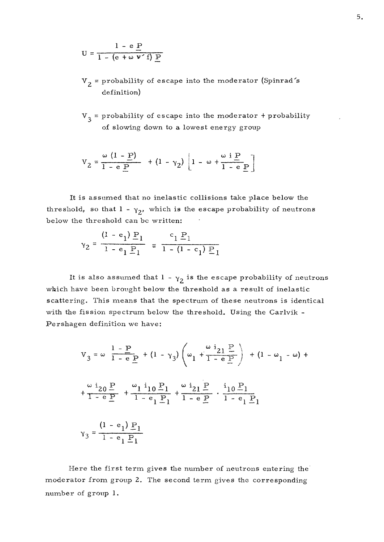$$
U = \frac{1 - e P}{1 - (e + \omega V') P}
$$

- $V<sub>2</sub>$  = probability of escape into the moderator (Spinrad's definition)
- $V_3$  = probability of escape into the moderator + probability of slowing down to a lowest energy group

$$
V_2 = \frac{\omega (1 - P)}{1 - e P} + (1 - \gamma_2) \left[ 1 - \omega + \frac{\omega i P}{1 - e P} \right]
$$

It is assumed that no inelastic collisions take place below the threshold, so that  $1 - \gamma_2$ , which is the escape probability of neutrons below the threshold can be written:

$$
\gamma_2 = \frac{(1 - e_1) P_1}{1 - e_1 P_1} = \frac{c_1 P_1}{1 - (1 - c_1) P_1}
$$

It is also assumed that  $1 - \gamma_2$  is the escape probability of neutrons which have been brought below the threshold as a result of inelastic scattering. This means that the spectrum of these neutrons is identical with the fission spectrum below the threshold. Using the Carlvik - Pershagen definition we have:

$$
V_{3} = \omega \frac{1 - P}{1 - e_{\frac{P}{2}}} + (1 - \gamma_{3}) \left(\omega_{1} + \frac{\omega_{21} P}{1 - e_{\frac{P}{2}}}\right) + (1 - \omega_{1} - \omega) +
$$
  
+ 
$$
\frac{\omega_{20} P}{1 - e_{\frac{P}{2}}} + \frac{\omega_{11} Q_{11} P}{1 - e_{11} P_{1}} + \frac{\omega_{21} P}{1 - e_{\frac{P}{2}}} + \frac{i_{10} P_{1}}{1 - e_{11} P_{1}}
$$
  

$$
\gamma_{3} = \frac{(1 - e_{1}) P_{1}}{1 - e_{11} P_{1}}
$$

Here the first term gives the number of neutrons entering the moderator from group 2. The second term gives the corresponding number of group 1.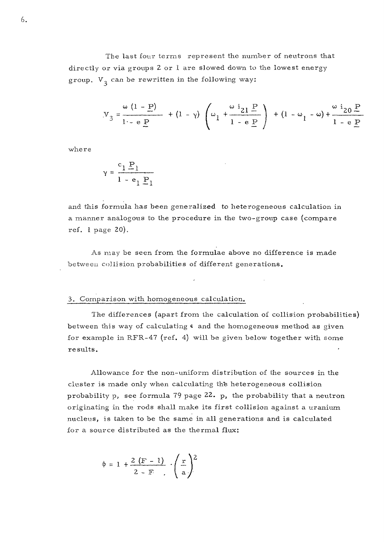The last four terms represent the number of neutrons that directly or via groups 2 or 1 are slowed down to the lowest energygroup.  $V_2$  can be rewritten in the following way:

$$
y_3 = \frac{\omega (1 - P)}{1 - e P} + (1 - \gamma) \left(\omega_1 + \frac{\omega i_{21} P}{1 - e P}\right) + (1 - \omega_1 - \omega) + \frac{\omega i_{20} P}{1 - e P}
$$

where

$$
\gamma = \frac{c_1 P_1}{1 - e_1 P_1}
$$

and this formula has been generalized to heterogeneous calculation in a manner analogous to the procedure in the two-group case (compare ref. 1 page 20).

As may be seen from the formulae above no difference is made between collision probabilities of different generations.

#### 3, Comparison with homogeneous calculation.

The differences (apart from the calculation of collision probabilities) between this way of calculating  $\epsilon$  and the homogeneous method as given for example in RFR-47 (ref. 4) will be given below together with some results.

Allowance for the non-uniform distribution of the sources in the cluster is made only when calculating th'e heterogeneous collision probability p, see formula 79 page 22. p, the probability that a neutron originating in the rods shall make its first collision against a uranium nucleus, is taken to be the same in all generations and is calculated for a source distributed as the thermal flux:

$$
\phi = 1 + \frac{2(F-1)}{2-F} \cdot \left(\frac{r}{a}\right)^2
$$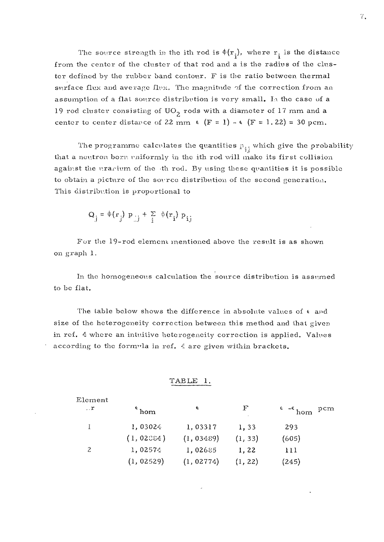The source strength in the ith rod is  $\phi(r_i)$ , where  $r_i$  is the distance from the center of the cluster of that rod and a is the radius of the cluster defined by the rubber band contour. F is the ratio between thermal surface flux and average flux. The magnitude of the correction from an assumption of a flat source distribution is very small. la the case of a 19 rod cluster consisting of  $UO<sub>2</sub>$  rods with a diameter of 17 mm and a center to center distance of 22 mm  $\epsilon$  (F = 1) -  $\epsilon$  (F = 1.22) = 30 pcm.

The programme calculates the quantities  $p_{ij}$  which give the probability that a neutron born rmiformly in the ith rod will make its first collision against the urarium of the th rod. By using these quantities it is possible to obtain a picture of the source distribution of the second generation. This distribution is proportional to

$$
Q_j = \phi(r_j) p_{jj} + \sum_{i} \phi(r_i) p_{ij}
$$

Fur the 19-rod element inentioned above the result is as shown on graph 1.

In the homogeneous calculation the source distribution is assumed to be flat.

The table below shows the difference in absolute values of  $\epsilon$  and size of the heterogeneity correction between this method and that given in rcf. 4 where an intuitive heterogeneity correction is applied. Values according to the formula in ref. *4* are given within brackets.

#### TABLE 1.

| Element      |            |            |            |                                    |
|--------------|------------|------------|------------|------------------------------------|
| $\mathbf{r}$ | hom        | ¢          | $_{\rm F}$ | $\epsilon$ - $\epsilon$ hom<br>pcm |
|              | 1,03024    | 1,03317    | 1,33       | 293                                |
|              | (1, 02084) | (1, 03489) | (1, 33)    | (605)                              |
|              | 1,02574    | 1,02685    | 1,22       | 111                                |
|              | (1, 02529) | (1, 02774) | (1, 22)    | (245)                              |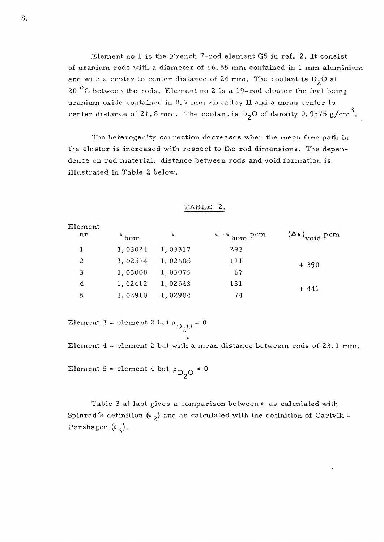Element no  $l$  is the French 7-rod element  $G5$  in ref. 2. It consist of uranium rods with a diameter of 16. 55 mm contained in 1 mm aluminium and with a center to center distance of 24 mm. The coolant is  $D_2O$  at 20  $^{\circ}$ C between the rods. Element no 2 is a 19-rod cluster the fuel being uranium oxide contained in 0. 7 mm zircalloy II and a mean center to center distance of 21.8 mm. The coolant is  $D_2O$  of density 0.9375 g/cm<sup>3</sup>.

The heterogenity correction decreases when the mean free path in the cluster is increased with respect to the rod dimensions. The dependence on rod material, distance between rods and void formation is illustrated in Table 2 below.

| Element |                           |         |                                 |                                    |
|---------|---------------------------|---------|---------------------------------|------------------------------------|
| nr      | $\epsilon$ <sub>hom</sub> | €       | $\epsilon$ - $\epsilon$ hom pcm | $(\Delta \epsilon)_{\rm void}$ pcm |
|         | 1,03024                   | 1,03317 | 293                             |                                    |
| 2       | 1,02574                   | 1,02685 | 111                             | $+390$                             |
| 3       | 1,03008                   | 1,03075 | 67                              |                                    |
| 4       | 1,02412                   | 1,02543 | 131                             | $+441$                             |
| 5       | 1,02910                   | 1,02984 | 74                              |                                    |

| <b>TABLE</b> |  |
|--------------|--|
|              |  |

Element 3 = element 2 bvt  $\rho_{D_2O} = 0$ 

Element  $4$  = element 2 but with a mean distance betweem rods of 23.1 mm.

Element 5 = element 4 but  $\rho_{\rm DLO} = 0$  $^{\omega}$ <sub>2</sub>

Table 3 at last gives a comparison between e as calculated with Spinrad's definition  $(\epsilon_2)$  and as calculated with the definition of Carlvik -Pershagen  $(\epsilon_2)$ .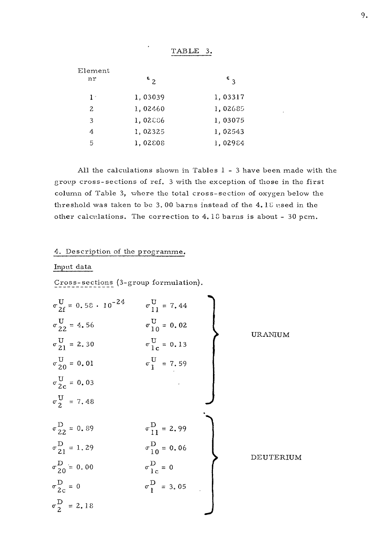| Element<br>nr  | $\epsilon$ 2 | $\epsilon$ $\alpha$ |
|----------------|--------------|---------------------|
| $1-$           | 1,03039      | 1,03317             |
| $\overline{2}$ | 1,02460      | 1,02685             |
| 3              | 1,02886      | 1,03075             |
| 4              | 1,02325      | 1,02543             |
| 5              | 1,02808      | 1,02984             |

All the calculations shown in Tables 1- 3 have been made with the group cross-sections of ref. 3 with the exception of those in the first column of Table 3, where the total cross-section of oxygen below the threshold was taken to be 3. 00 barns instead of the 4. 18 used in the other calculations. The correction to 4.10 barns is about - 30 pcm.

TABLE 3.

#### 4. Description of the programme.

#### Input data

Cross-sections (3-group formulation).

$$
\sigma_{21}^{U} = 0.58 \cdot 10^{-24}
$$
\n
$$
\sigma_{11}^{U} = 7.44
$$
\n
$$
\sigma_{22}^{U} = 4.56
$$
\n
$$
\sigma_{10}^{U} = 0.02
$$
\n
$$
\sigma_{21}^{U} = 2.30
$$
\n
$$
\sigma_{1c}^{U} = 0.13
$$
\n
$$
\sigma_{2c}^{U} = 0.01
$$
\n
$$
\sigma_{1c}^{U} = 7.59
$$
\n
$$
\sigma_{2c}^{U} = 0.03
$$
\n
$$
\sigma_{21}^{U} = 1.29
$$
\n
$$
\sigma_{20}^{D} = 0.89
$$
\n
$$
\sigma_{21}^{D} = 1.29
$$
\n
$$
\sigma_{1c}^{D} = 0
$$
\n
$$
\sigma_{1c}^{D} = 0
$$
\n
$$
\sigma_{1c}^{D} = 0
$$
\n
$$
\sigma_{1c}^{D} = 0
$$
\n
$$
\sigma_{2c}^{D} = 0
$$
\n
$$
\sigma_{2c}^{D} = 2.18
$$
\nEXECUTERUM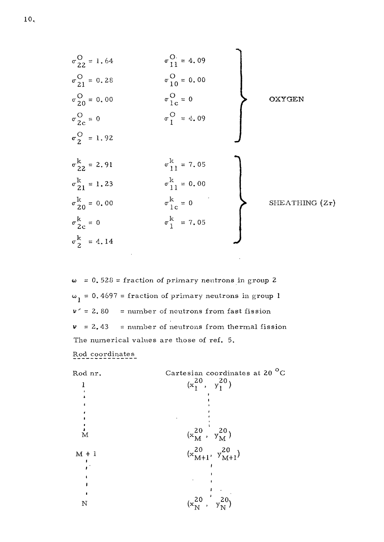

 $\omega$  = 0.528 = fraction of primary neutrons in group 2  $\omega_1 = 0.4697$  = fraction of primary neutrons in group 1  $v' = 2,80$  = number of neutrons from fast fission  $v = 2.43$  = number of neutrons from thermal fission The numerical values are those of ref. 5. Rod coordinates

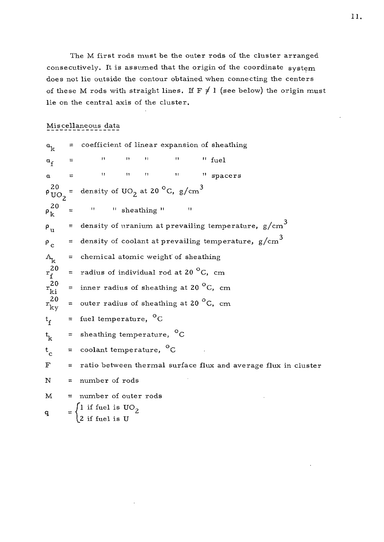The M first rods must be the outer rods of the cluster arranged consecutively. It is assumed that the origin of the coordinate system does not lie outside the contour obtained when connecting the centers of these M rods with straight lines. If  $F \neq 1$  (see below) the origin must lie on the central axis of the cluster.

### Miscellaneous data

 $a_{\text{bc}}$  = coefficient of linear expansion of sheathing  $a_f$  $=$   $\frac{m}{m}$  "  $\frac{m}{m}$  "  $\frac{m}{m}$  fuel **a = ii ii n ii tt spacer <sup>s</sup>**  $\rho_{\text{UO}_2}^{20}$ density of UO<sub>2</sub> at 20  $^{\circ}$ C, g/cm<sup>3</sup>  $\rho_k^{20}$  = " " sheathing " "  $\rho_{\text{m}}$  = density of uranium at prevailing temperature,  $g/cm^3$  $p_c$  = density of coolant at prevailing temperature,  $g/cm^3$  $A_k$  = chemical atomic weight of sheathing  $\begin{array}{c}\n 20 \\
r_f^2 \\
20 \\
r_{ki}^2\n\end{array}$ = radius of individual rod at 20  $^{\circ}$ C, cm = inner radius of sheathing at 20 $\mathrm{^{0}C}$ , cm  $r_{\rm ky}^{20}$ = outer radius of sheathing at 20  $\mathrm{^0C}$ , cm  $t_f$  = fuel temperature, <sup>o</sup>C **o,** t, = sheathing temperature, C  $t_c$  = coolant temperature, <sup>o</sup>C  $F =$  ratio between thermal surface flux and average flux in cluster  $N = number of rods$  $M = number of outer rods$  $\int$ l if fuel is UO<sub>2</sub>  $q = \begin{cases} z & \text{if } \text{fuel is II} \end{cases}$  $\epsilon$  if fuel is  $\sigma$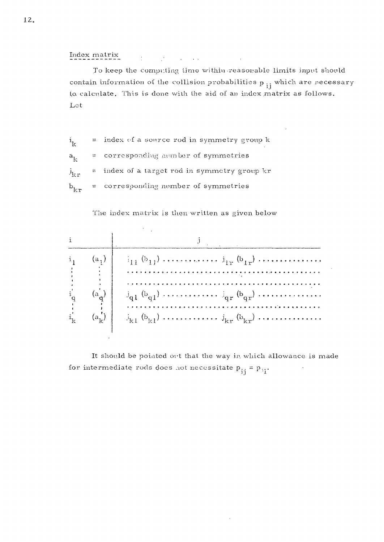Index matrix  $\mathcal{L}^{\mathcal{L}}$  and  $\mathcal{L}^{\mathcal{L}}$  and  $\mathcal{L}^{\mathcal{L}}$  and  $\mathcal{L}^{\mathcal{L}}$  and  $\mathcal{L}^{\mathcal{L}}$ 

To keep the computing time within reasonable limits input should contain information of the collision probabilities  $p_{i,j}$  which are recessary to calculate. This is done with the aid of an index matrix as follows. Let

 $=$  index of a source rod in symmetry group  $k$  $i_{1c}$ corresponding number of symmetries  $a_{k}$ = index of a target rod in symmetry group kr  $\mathbf{i}_{1r,r}$ = corresponding number of symmetries )<br>ki

The index matrix is then written as given below



It should be pointed ort that the way in which allowance is made for intermediate rods does not necessitate  $p_{1i} = p_{1i}$ . **3.1 ' 'i**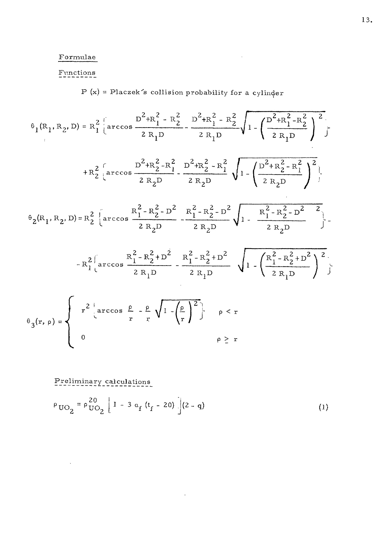### Formulae

## Functions

 $P(x) =$  Placzek's collision probability for a cylinder

 $\sim 10^{11}$ 

$$
\theta_{1}(R_{1}, R_{2}, D) = R_{1}^{2} \left\{ \arccos \frac{D^{2} + R_{1}^{2} - R_{2}^{2}}{2 R_{1} D} - \frac{D^{2} + R_{1}^{2} - R_{2}^{2}}{2 R_{1} D} \right\} \int_{1 - \left(\frac{D^{2} + R_{1}^{2} - R_{2}^{2}}{2 R_{1} D} \right)^{2}} f
$$
\n
$$
+ R_{2}^{2} \left\{ \arccos \frac{D^{2} + R_{2}^{2} - R_{1}^{2}}{2 R_{2} D} - \frac{D^{2} + R_{2}^{2} - R_{1}^{2}}{2 R_{2} D} \right\} \int_{1 - \left(\frac{D^{2} + R_{2}^{2} - R_{1}^{2}}{2 R_{2} D} \right)^{2}} f
$$
\n
$$
\theta_{2}(R_{1}, R_{2}, D) = R_{2}^{2} \left\{ \arccos \frac{R_{1}^{2} - R_{2}^{2} - D^{2}}{2 R_{2} D} - \frac{R_{1}^{2} - R_{2}^{2} - D^{2}}{2 R_{2} D} \right\} - \frac{R_{1}^{2} - R_{2}^{2} - D^{2}}{2 R_{2} D} \int_{1 - \frac{R_{1}^{2} - R_{2}^{2} - D^{2}}{2 R_{2} D} \right\} - R_{1}^{2} \left\{ \arccos \frac{R_{1}^{2} - R_{2}^{2} + D^{2}}{2 R_{1} D} - \frac{R_{1}^{2} - R_{2}^{2} + D^{2}}{2 R_{1} D} \right\} \int_{1 - \left(\frac{R_{1}^{2} - R_{2}^{2} + D^{2}}{2 R_{1} D} \right)^{2}} f
$$
\n
$$
\theta_{3}(x, \rho) = \begin{cases} r^{2} \left\{ \arccos \frac{\rho}{r} - \frac{\rho}{r} \sqrt{1 - (\frac{\rho}{r})^{2}} \right\} & \rho < r \\ 0 & \rho \ge r \end{cases}
$$

Preliminary calculations

 $\ddot{\phantom{0}}$ 

$$
\rho_{\text{UO}_2} = \rho_{\text{UO}_2}^{20} \left[ 1 - 3 \alpha_f (t_f - 20) \right] (2 - q) \tag{1}
$$

 $\ddot{\phantom{a}}$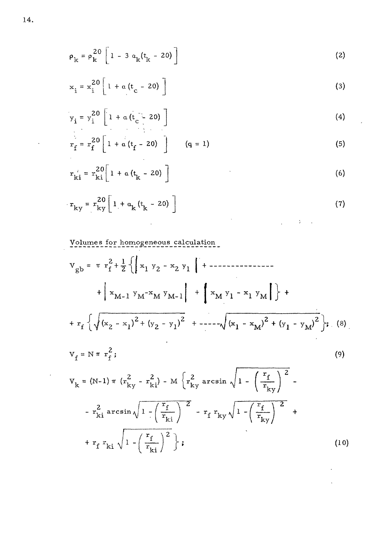$$
\rho_{k} = \rho_{k}^{20} \left[ 1 - 3 \alpha_{k} (t_{k} - 20) \right]
$$
 (2)

$$
x_{i} = x_{i}^{20} \left[ 1 + \alpha \left( t_{c} - 20 \right) \right]
$$
 (3)

$$
y_{i} = y_{i}^{20} \left[ 1 + \alpha \left( t_{c} - 20 \right) \right]
$$
 (4)

 $\epsilon$ 

 $\epsilon$ 

 $\ddot{\phantom{0}}$ 

$$
r_{f} = r_{f}^{20} \left[ 1 + \alpha \left( t_{f} - 20 \right) \right] \qquad (q = 1)
$$
 (5)

$$
r_{ki}^{\ i} = r_{ki}^{20} \bigg[ 1 + a \left( t_{k} - 20 \right) \bigg]
$$
 (6)

$$
\mathbf{r}_{ky} = \mathbf{r}_{ky}^{20} \left[ 1 + a_k (t_k - 20) \right]
$$
 (7)

Volumes for homogeneoxis calculation

$$
V_{gb} = \pi r_f^2 + \frac{1}{2} \{ \left| x_1 y_2 - x_2 y_1 \right| + \left| - \frac{1}{2} \left( x_1 y_1 - x_2 y_1 + \left| x_1 y_1 - x_1 y_1 \right| \right) + \left| x_1 y_1 - x_1 y_1 \right| \} + \left| x_1 y_1 - x_1 y_1 \right| \} + \frac{1}{2} \left( x_1 - x_1 y_1 + \left| x_1 y_1 - x_1 y_1 \right| + \left| x_1 y_1 - x_1 y_1 \right| \} + \frac{1}{2} \left( x_1 - x_1 y_1 + \left| x_1 y_1 - x_1 y_1 \right| \right) + \frac{1}{2} \left( x_1 - x_1 y_1 + \left| x_1 y_1 - x_1 y_1 \right| \right) + \frac{1}{2} \left( x_1 - x_1 y_1 + \left| x_1 y_1 - x_1 y_1 \right| \right) + \frac{1}{2} \left( x_1 - x_1 y_1 + \left| x_1 y_1 - x_1 y_1 \right| \right) + \frac{1}{2} \left( x_1 - x_1 y_1 + \left| x_1 y_1 - x_1 y_1 \right| \right) + \frac{1}{2} \left( x_1 - x_1 y_1 + \left| x_1 y_1 - x_1 y_1 \right| \right) + \frac{1}{2} \left( x_1 - x_1 y_1 + \left| x_1 y_1 - x_1 y_1 \right| \right) + \frac{1}{2} \left( x_1 - x_1 y_1 + \left| x_1 y_1 - x_1 y_1 \right| \right) + \frac{1}{2} \left( x_1 - x_1 y_1 + \left| x_1 y_1 - x_1 y_1 \right| \right) + \frac{1}{2} \left( x_1 - x_1 y_1 + \left| x_1 y_1 - x_1 y_1 \right| \right) + \frac{1}{2} \left( x_1 - x_1 y_1 + \left| x_1 y_1 - x_1 y_1 \right| \right) + \frac{1}{2} \left( x_1 - x_1 y_1 + \left| x_1 y_1 - x_1 y_1 \right| \right) + \frac{1}{2} \left( x_1 - x_1 y_1 + \left| x_1 y_1 - x
$$

$$
V_{k} = (N-1) \pi (r_{ky}^{2} - r_{ki}^{2}) - M \left\{ r_{ky}^{2} \arcsin \sqrt{1 - \left(\frac{r_{f}}{r_{ky}}\right)^{2}} - r_{ki}^{2} \arcsin \sqrt{1 - \left(\frac{r_{f}}{r_{ki}}\right)^{2}} + r_{f}^{2} \arcsin \sqrt{1 - \left(\frac{r_{f}}{r_{ki}}\right)^{2}} + r_{f}^{2} \arcsin \sqrt{1 - \left(\frac{r_{f}}{r_{ki}}\right)^{2}} \right\};
$$
\n(10)

 $\bar{\ell}$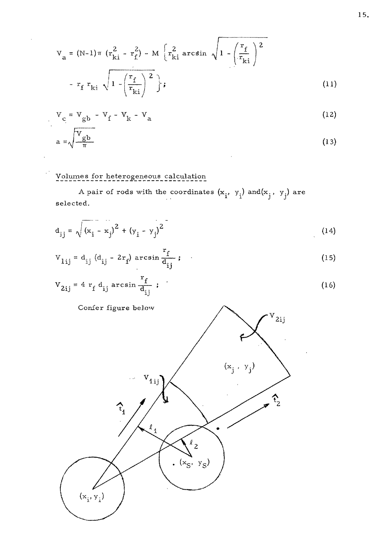$$
V_{a} = (N-1)\pi (r_{ki}^{2} - r_{f}^{2}) - M \left[r_{ki}^{2} \arcsin \sqrt{1 - \left(\frac{r_{f}}{r_{ki}}\right)^{2}}\right]
$$

$$
- r_{f} r_{ki} \sqrt{1 - \left(\frac{r_{f}}{r_{ki}}\right)^{2}};
$$

$$
(11)
$$

$$
V_c = V_{gb} - V_f - V_k - V_a
$$
 (12)

$$
a = \sqrt{\frac{V_{gb}}{\pi}}
$$
 (13)

 $\sim$ 

## Volumes for heterogeneous calculation

 $\overline{a}$ 

 $\mathbf{r}$ 

A pair of rods with the coordinates  $(x_i, y_i)$  and $(x_j, y_j)$  are selected.

$$
d_{ij} = \sqrt{(x_i - x_j)^2 + (y_i - y_j)^2}
$$
 (14)

$$
V_{1ij} = d_{ij} (d_{ij} - 2r_f) \arcsin \frac{r_f}{d_{ij}};
$$
 (15)

$$
V_{2ij} = 4 r_f d_{ij} \arcsin \frac{r_f}{d_{ij}} ; \qquad (16)
$$

Confer figure below

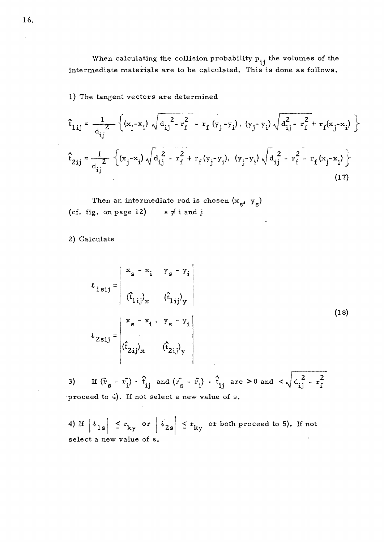When calculating the collision probability  $P_{ij}$  the volumes of the intermediate materials are to be calculated. This is done as follows.

1) The tangent vectors are determined

$$
\hat{\mathbf{t}}_{1ij} = \frac{1}{d_{ij}^2} \left\{ (\mathbf{x}_j - \mathbf{x}_i) \sqrt{d_{ij}^2 - \mathbf{r}_f^2} - \mathbf{r}_f (y_j - y_i), (y_j - y_i) \sqrt{d_{ij}^2 - \mathbf{r}_f^2} + \mathbf{r}_f (\mathbf{x}_j - \mathbf{x}_i) \right\}
$$
\n
$$
\hat{\mathbf{t}}_{2ij} = \frac{1}{d_{ij}^2} \left\{ (\mathbf{x}_j - \mathbf{x}_i) \sqrt{d_{ij}^2 - \mathbf{r}_f^2} + \mathbf{r}_f (y_j - y_i), (y_j - y_i) \sqrt{d_{ij}^2 - \mathbf{r}_f^2} - \mathbf{r}_f (\mathbf{x}_j - \mathbf{x}_i) \right\}
$$
\n(17)

Then an intermediate rod is chosen  $(x_s, y_s)$ <br>  $(3.20 \times 10^{12})$ (cf. fig. on page 12)  $s \neq i$  and j

2) Calculate

$$
\boldsymbol{\ell}_{1\,\mathrm{s}\,\mathrm{i}\,\mathrm{j}} = \begin{vmatrix}\n x_{\mathrm{s}} - x_{\mathrm{i}} & y_{\mathrm{s}} - y_{\mathrm{i}} \\
(t_{1\,\mathrm{i}\,\mathrm{j}})_{\mathrm{x}} & (t_{1\,\mathrm{i}\,\mathrm{j}})_{\mathrm{y}}\n \end{vmatrix}
$$
\n
$$
\boldsymbol{\ell}_{2\,\mathrm{s}\,\mathrm{i}\,\mathrm{j}} = \begin{vmatrix}\n x_{\mathrm{s}} - x_{\mathrm{i}} & y_{\mathrm{s}} - y_{\mathrm{i}} \\
(t_{2\,\mathrm{i}\,\mathrm{j}})_{\mathrm{x}} & (t_{2\,\mathrm{i}\,\mathrm{j}})_{\mathrm{y}}\n \end{vmatrix}
$$
\n
$$
(18)
$$

3) If  $(\bar{r}_{s} - \bar{r}_{i}) \cdot \hat{t}_{i,i}$  and  $(\bar{r}_{s} - \bar{r}_{i}) \cdot \hat{t}_{i,i}$  are  $> 0$  and  $\langle \sqrt{d_{i,i}^{2} - r_{f}^{2}}$ proceed to  $\frac{1}{4}$ ). If not select a new value of s.

4) If  $\left| \begin{array}{c} \ell \end{array} \right| \left| \begin{array}{c} \xi \end{array} \right| \leq r_{\rm ky}$  or  $\leq$   $r_{ky}$  or  $|t_{2s}| \leq r_{ky}$  or both proceed to 5). If not - Ky select a new value of s.

16.

 $\ddot{\phantom{a}}$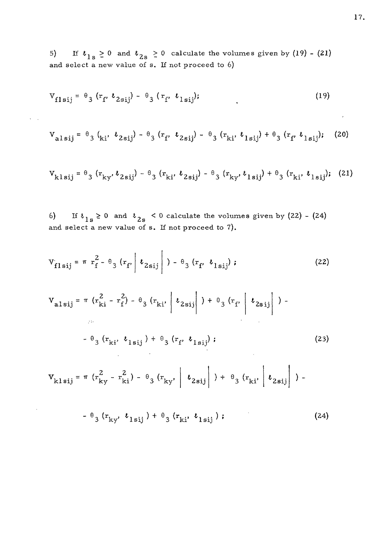If  $\ell_{1s} \geq 0$  and  $\ell_{2s} \geq 0$  calculate the volumes given by (19) - (21)  $5)$ and select a new value of s. If not proceed to  $6$ )

$$
V_{f1sij} = \theta_3 (r_f, \ell_{2sij}) - \theta_3 (r_f, \ell_{1sij}); \qquad (19)
$$

 $\mathbf{v} = \mathbf{v}$  , where  $\mathbf{v} = \mathbf{v}$ 

 $\bar{z}$ 

$$
V_{\text{alsij}} = \theta_3 \left( k_i, \ \ell_{2\,\text{si}\,j} \right) - \theta_3 \left( r_f, \ \ell_{2\,\text{si}\,j} \right) - \theta_3 \left( r_{ki}, \ \ell_{1\,\text{si}\,j} \right) + \theta_3 \left( r_f, \ \ell_{1\,\text{si}\,j} \right); \tag{20}
$$

$$
V_{kl\,sij} = \theta_3 (r_{ky}, \ell_{2sij}) - \theta_3 (r_{ki}, \ell_{2sij}) - \theta_3 (r_{ky}, \ell_{1sij}) + \theta_3 (r_{ki}, \ell_{1sij}); \quad (21)
$$

If  $t_{1s} \ge 0$  and  $t_{2s} < 0$  calculate the volumes given by (22) - (24)  $6)$ and select a new value of s. If not proceed to 7).

$$
V_{f1sij} = \pi r_f^2 - \theta_3 (r_f) \nu_{2sij} \bigg|_{\rho = \theta_3 (r_f, \nu_{1sij})}
$$
 (22)

$$
V_{\text{alsij}} = \pi (r_{ki}^2 - r_f^2) - \theta_3 (r_{ki'} | l_{2sij} | ) + \theta_3 (r_f | l_{2sij} | ) -
$$
  
\n
$$
- \theta_3 (r_{ki'} l_{1sij}) + \theta_3 (r_f l_{1sij} ) ;
$$
\n
$$
V_{\text{klsij}} = \pi (r_{ky}^2 - r_{ki}^2) - \theta_3 (r_{ky'} | l_{2sij} | ) + \theta_3 (r_{ki'} | l_{2sij} | ) -
$$
\n(23)

$$
- \theta_{3} (r_{ky}, \ell_{1sij}) + \theta_{3} (r_{ki}, \ell_{1sij}); \qquad (24)
$$

 $\sim$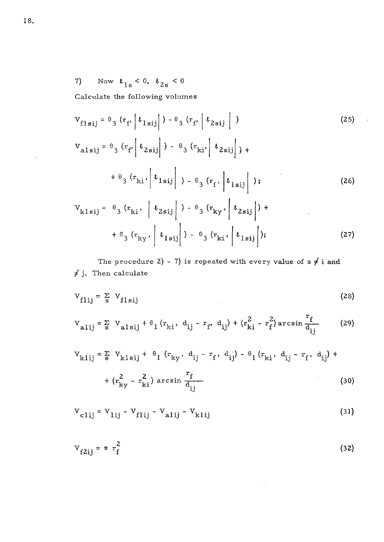Now  $\boldsymbol{\ell}_{1\,\mathrm{s}}<0,~\boldsymbol{\ell}_{2\,\mathrm{s}}<0$  $7)$ 

Calculate the following volumes

$$
V_{flsij} = \theta_3 (r_f \mid t_{lsij} \mid) - \theta_3 (r_f \mid t_{2sij} \mid)
$$
 (25)

$$
V_{\text{alsij}} = \theta_{3} (r_{f} \mid \ell_{2\text{sij}}) - \theta_{3} (r_{\text{ki}} \mid \ell_{2\text{sij}}) +
$$
  
+  $\theta_{3} (r_{\text{ki}} \mid \ell_{1\text{sij}}) - \theta_{3} (r_{f} \mid \ell_{1\text{sij}})$  ; (26)

$$
V_{klsij} = \theta_3 (r_{ki}, \left| l_{2sij} \right|) - \theta_3 (r_{ky}, \left| l_{2sij} \right|) + \theta_3 (r_{ky}, \left| l_{1sij} \right|) - \theta_3 (r_{ki}, \left| l_{1sij} \right|); \qquad (27)
$$

The procedure 2) - 7) is repeated with every value of  $s \neq i$  and  $\neq$  j. Then calculate

$$
V_{f1ij} = \frac{\sum}{s} V_{f1sij}
$$
 (28)

$$
V_{\text{alij}} = \sum_{\text{s}} V_{\text{alsij}} + \theta_1 (r_{\text{ki}}, d_{\text{ij}} - r_{\text{f}} d_{\text{ij}}) + (r_{\text{ki}}^2 - r_{\text{f}}^2) \arcsin \frac{r_{\text{f}}}{d_{\text{ij}}}
$$
 (29)

$$
V_{k1ij} = \sum_{s} V_{k1sij} + \theta_1 (r_{ky}, d_{ij} - r_f, d_{ij}) - \theta_1 (r_{ki}, d_{ij} - r_f, d_{ij}) +
$$
  
+  $(r_{ky}^2 - r_{ki}^2) \arcsin \frac{r_f}{d_{ij}}$  (30)

$$
V_{\text{clij}} = V_{\text{lij}} - V_{\text{filij}} - V_{\text{alij}} - V_{\text{klij}}
$$
\n(31)

$$
V_{f2ij} = \pi r_f^2 \tag{32}
$$

 $\mathcal{L}$ 

 $\bar{z}$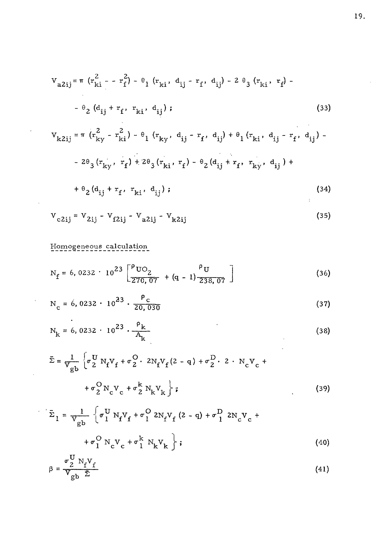$$
V_{a2ij} = \pi (r_{ki}^2 - r_f^2) - \theta_1 (r_{ki}, d_{ij} - r_f, d_{ij}) - 2 \theta_3 (r_{ki}, r_f) - \theta_2 (d_{ij} + r_f, r_{ki}, d_{ij});
$$
\n(33)

$$
V_{k2ij} = \pi (r_{ky}^2 - r_{ki}^2) - \theta_1 (r_{ky}, d_{ij} - r_f, d_{ij}) + \theta_1 (r_{ki}, d_{ij} - r_f, d_{ij}) -
$$

$$
- 2\theta_3 (r_{ky}, r_f) + 2\theta_3 (r_{ki}, r_f) - \theta_2 (d_{ij} + r_f, r_{ky}, d_{ij}) +
$$

$$
+\theta_2(d_{ij} + r_f, r_{ki}, d_{ij}); \qquad (34)
$$

$$
V_{c2ij} = V_{2ij} - V_{f2ij} - V_{a2ij} - V_{k2ij}
$$
 (35)

## Homogeneous calculation

l,

 $\hat{\boldsymbol{\theta}}$ 

 $\bar{\mathbf{v}}$ 

 $\ddot{\phantom{a}}$ 

$$
N_f = 6,0232 \cdot 10^{23} \left[ \frac{\rho_{UQ}}{270,07} + (q-1) \frac{\rho_{U}}{238,07} \right]
$$
 (36)

$$
N_c = 6,0232 \cdot 10^{23} \cdot \frac{P_c}{20,030}
$$
 (37)

$$
N_k = 6,0232 \cdot 10^{23} \cdot \frac{P_k}{A_k}
$$
 (38)

 $\overline{a}$ 

$$
\bar{\Sigma} = \frac{1}{V_{gb}} \left\{ \sigma_{2}^{U} N_{f} V_{f} + \sigma_{2}^{O} \cdot 2N_{f} V_{f} (2 - q) + \sigma_{2}^{D} \cdot 2 \cdot N_{c} V_{c} + \sigma_{2}^{O} N_{c} V_{c} + \sigma_{2}^{O} N_{k} V_{k} \right\};
$$
\n(39)

$$
\bar{\Sigma}_1 = \frac{1}{V_{gb}} \left\{ \sigma_1^U N_f V_f + \sigma_1^O 2N_f V_f (2 - q) + \sigma_1^D 2N_c V_c + \sigma_1^O N_c V_c + \sigma_1^L N_k V_k \right\};
$$
\n(40)

$$
\beta = \frac{\sigma_2^{\rm o} N_{\rm f} V_{\rm f}}{V_{\rm gb} \bar{\Sigma}} \tag{41}
$$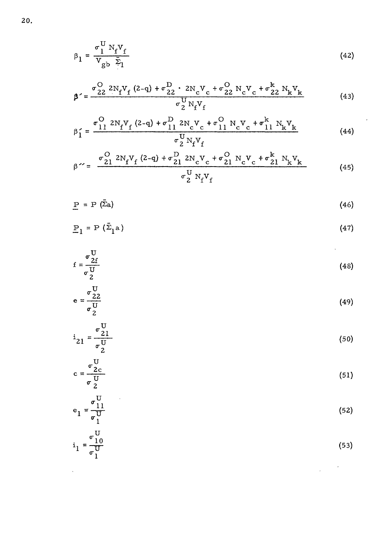$$
\beta_1 = \frac{\sigma_1^{\mathrm{U}} N_{\mathrm{f}} V_{\mathrm{f}}}{V_{\mathrm{g}} b} \bar{\Sigma}_1
$$
 (42)

$$
\beta' = \frac{\sigma_{22}^O 2N_f V_f (2-q) + \sigma_{22}^D \cdot 2N_c V_c + \sigma_{22}^O N_c V_c + \sigma_{22}^k N_k V_k}{\sigma_2^U N_f V_f}
$$
(43)

$$
\beta'_{1} = \frac{\sigma_{11}^{O} 2N_{f}V_{f} (2-q) + \sigma_{11}^{D} 2N_{c}V_{c} + \sigma_{11}^{O} N_{c}V_{c} + \sigma_{11}^{k} N_{k}V_{k}}{\sigma_{2}^{U} N_{f}V_{f}}
$$
(44)

$$
\beta^{\prime\prime} = \frac{\sigma_{21}^{\text{O}} \, 2N_f V_f \, (2-q) + \sigma_{21}^{\text{D}} \, 2N_c V_c + \sigma_{21}^{\text{O}} \, N_c V_c + \sigma_{21}^{\text{k}} \, N_k V_k}{\sigma_2^{\text{U}} \, N_f V_f}
$$
(45)

$$
\underline{P} = P (\bar{\Sigma}_a) \tag{46}
$$

$$
\underline{\mathbf{P}}_1 = \mathbf{P} \left( \bar{\Sigma}_1 \mathbf{a} \right) \tag{47}
$$

$$
f = \frac{\sigma \frac{U}{2f}}{\sigma \frac{U}{2}}
$$
 (48)

$$
e = \frac{\sigma_{22}^{U}}{\sigma_2^{U}}
$$
 (49)

$$
i_{21} = \frac{\sigma_{21}^{U}}{\sigma_2^{U}}
$$
 (50)

$$
c = \frac{\sigma_{2c}^{U}}{\sigma_{2}^{U}}
$$
 (51)

$$
e_1 = \frac{\sigma_{11}^U}{\sigma_1^U}
$$
 (52)

$$
i_1 = \frac{\sigma_1^U}{\sigma_1^U} \tag{53}
$$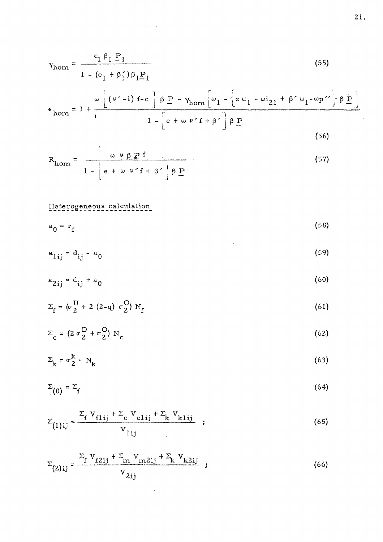$$
\gamma_{\text{hom}} = \frac{c_1 \beta_1 P_1}{1 - (e_1 + \beta_1') \beta_1 P_1}
$$
 (55)

 $\mathcal{L}(\mathcal{L}^{\text{max}}_{\mathcal{L}})$  and  $\mathcal{L}^{\text{max}}_{\mathcal{L}}$  and  $\mathcal{L}^{\text{max}}_{\mathcal{L}}$ 

$$
\epsilon_{\text{hom}} = 1 + \frac{\omega \left[ \left( v' - 1 \right) f - c \right] \beta P - \gamma_{\text{hom}} \left[ \omega_1 - \left( e \omega_1 - \omega_2 \right) + \beta' \omega_1 - \omega_2'' \right] \beta P}{1 - \left[ e + \omega v' f + \beta' \right] \beta P}
$$
\n(56)

$$
R_{\text{hom}} = \frac{\omega \nu \beta P f}{1 - \left[ e + \omega \nu' f + \beta' \right] \beta P}
$$
 (57)

## Heterogeneous calculation

 $\mathcal{L}^{\text{max}}_{\text{max}}$ 

$$
a_0 = r_f \tag{58}
$$

$$
a_{1ij} = d_{ij} - a_0 \tag{59}
$$

$$
a_{2ij} = d_{ij} + a_0 \tag{60}
$$

$$
\Sigma_{f} = (\sigma_{2}^{U} + 2 (2-q) \sigma_{2}^{O}) N_{f}
$$
 (61)

$$
\Sigma_{\rm c} = (2 \sigma_{\rm 2}^{\rm D} + \sigma_{\rm 2}^{\rm O}) N_{\rm c} \tag{62}
$$

$$
\Sigma_{\mathbf{k}} = \sigma_{\mathbf{2}}^{\mathbf{k}} \cdot \mathbf{N}_{\mathbf{k}} \tag{63}
$$

$$
\Sigma_{(0)} = \Sigma_f \tag{64}
$$

$$
\Sigma_{(1)ij} = \frac{\sum_{f} V_{f1ij} + \sum_{c} V_{c1ij} + \sum_{k} V_{k1ij}}{V_{1ij}} \t{65}
$$

$$
\Sigma_{(2)ij} = \frac{\sum_{f} V_{f2ij} + \sum_{m} V_{m2ij} + \sum_{k} V_{k2ij}}{V_{2ij}} \tag{66}
$$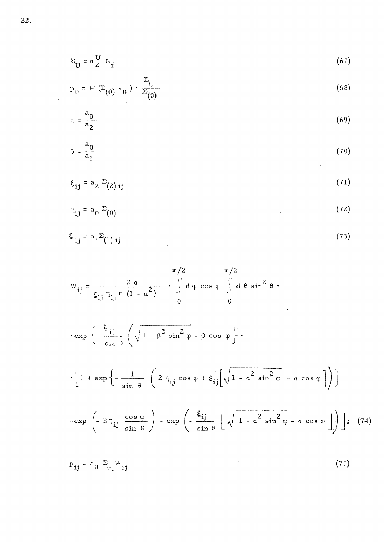$$
\Sigma_{\mathbf{U}} = \sigma_2^{\mathbf{U}} \mathbf{N}_{\mathbf{f}} \tag{67}
$$

$$
P_0 = P (E_{(0)} a_0) \cdot \frac{E_{U}}{E_{(0)}}
$$
 (68)

$$
\alpha = \frac{a_0}{a_2} \tag{69}
$$

$$
\beta = \frac{a_0}{a_1} \tag{70}
$$

$$
\xi_{ij} = a_2 \Sigma_{(2)ij} \tag{71}
$$

$$
\eta_{ij} = a_0 \Sigma_{(0)}
$$
 (72)

$$
\zeta_{ij} = a_1 \Sigma_{(1)ij} \tag{73}
$$

$$
W_{ij} = \frac{2 \alpha}{\xi_{ij} \eta_{ij} \pi (1 - \alpha^2)} \cdot \int_{0}^{\infty} d\varphi \cos \varphi \int_{0}^{\infty} d\theta \sin^2 \theta
$$
  
\n
$$
\cdot \exp \left\{ -\frac{\zeta_{ij}}{\sin \theta} \left( \sqrt{1 - \beta^2 \sin^2 \varphi} - \beta \cos \varphi \right) \right\} \cdot
$$
  
\n
$$
\cdot \left[ 1 + \exp \left\{ -\frac{1}{\sin \theta} \left( 2 \eta_{ij} \cos \varphi + \xi_{ij} \left[ \sqrt{1 - \alpha^2 \sin^2 \varphi} - \alpha \cos \varphi \right] \right) \right\} \right\} - \exp \left( -2 \eta_{ij} \frac{\cos \varphi}{\sin \varphi} \right) - \exp \left( -\frac{\xi_{ij}}{\sin \varphi} \left[ \sqrt{1 - \alpha^2 \sin^2 \varphi} - \alpha \cos \varphi \right] \right) \right]; (74)
$$

$$
P_{ij} = a_0 \sum_{ij} W_{ij}
$$
 (75)

 $\label{eq:2.1} \frac{1}{\sqrt{2}}\left(\frac{1}{\sqrt{2}}\right)^{2} \frac{1}{\sqrt{2}}\left(\frac{1}{\sqrt{2}}\right)^{2} \frac{1}{\sqrt{2}}\left(\frac{1}{\sqrt{2}}\right)^{2} \frac{1}{\sqrt{2}}\left(\frac{1}{\sqrt{2}}\right)^{2} \frac{1}{\sqrt{2}}\left(\frac{1}{\sqrt{2}}\right)^{2} \frac{1}{\sqrt{2}}\left(\frac{1}{\sqrt{2}}\right)^{2} \frac{1}{\sqrt{2}}\left(\frac{1}{\sqrt{2}}\right)^{2} \frac{1}{\sqrt{2}}\left(\frac{$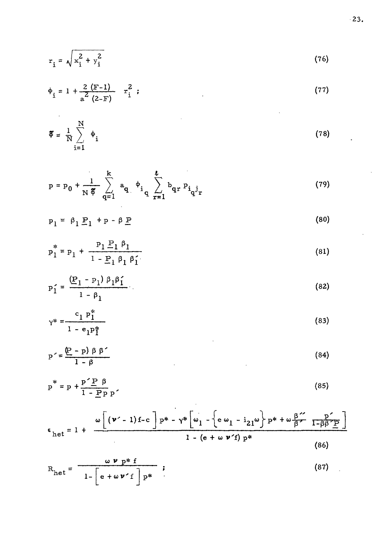$$
r_{i} = \sqrt{x_{i}^{2} + y_{i}^{2}}
$$
 (76)

$$
\phi_{i} = 1 + \frac{2}{a^{2}} \frac{(F-1)}{(2-F)} \quad r_{i}^{2} ; \qquad (77)
$$

$$
\mathfrak{F} = \frac{1}{N} \sum_{i=1}^{N} \Phi_i
$$
 (78)

$$
p = p_0 + \frac{1}{N \frac{\pi}{9}} \sum_{q=1}^{k} a_q \phi_i \sum_{r=1}^{l} b_{qr} p_{i_q j_r}
$$
 (79)

$$
p_1 = \beta_1 \underline{P}_1 + p - \beta \underline{P}
$$
 (80)

$$
p_1^* = p_1 + \frac{p_1 P_1 \beta_1}{1 - P_1 \beta_1 \beta_1'} \tag{81}
$$

$$
p'_{1} = \frac{(P_{1} - P_{1}) \beta_{1} \beta_{1}'}{1 - \beta_{1}}
$$
 (82)

$$
\gamma^* = \frac{c_1 p_1^*}{1 - e_1 p_1^*}
$$
 (83)

$$
p' = \frac{(p - p) \beta \beta'}{1 - \beta}
$$
 (84)

$$
p^* = p + \frac{p' P \beta}{1 - P p}.
$$
 (85)

$$
\epsilon_{\text{het}} = 1 + \frac{\omega \left[ (\nu' - 1) f - c \right] p^* - \gamma^* \left[ \omega_1 - \left\{ e \omega_1 - i_{21} \omega \right\} p^* + \omega \frac{\beta^*}{\beta^*} \frac{p^*}{1 - \beta \beta^* P} \right]}{1 - (e + \omega \nu^* f) p^*}
$$
(86)

$$
R_{het} = \frac{\omega \nu p * f}{1 - \left[ e + \omega \nu' f \right] p^*}
$$
 (87)

 $\mathcal{L}^{\text{max}}_{\text{max}}$ 

 $\hat{\mathcal{E}}$ 

 $\bar{\beta}$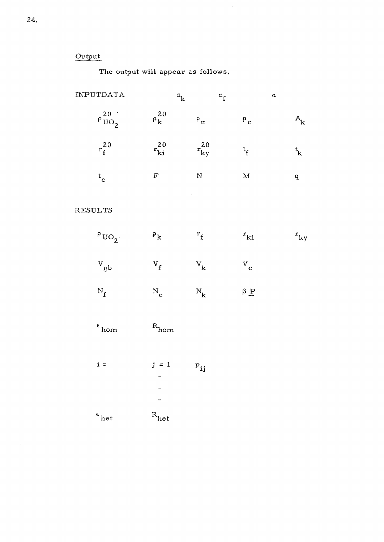### Output

The output will appear as follows.

| INPUTDATA                    | ${}^{\alpha}\mathbf{k}$   | $\mathfrak{a}_{\rm f}$    | $\alpha$                         |                                     |
|------------------------------|---------------------------|---------------------------|----------------------------------|-------------------------------------|
| $\rho\frac{20}{U\text{O}_2}$ | $\rho_k^{20}$             | $\mathsf{P}_\mathbf{u}$   | $\mathbf{P}_{\mathbf{C}}$        | $\mathbf{A}_{\mathbf{k}}$           |
| $r_f^{20}$                   | $r_{\rm ki}^{20}$         | $r_{ky}^{20}$             | $t_{\rm f}$                      | $\mathfrak{t}_{\mathbf{k}}$         |
| $\rm ^t_c$                   | $\overline{\mathrm{F}}$   | N                         | $\bf M$                          | $\overline{\mathbf{q}}$             |
| <b>RESULTS</b>               | Ŷ,                        |                           |                                  |                                     |
| $P_{UO_2}$ .                 | $\mathbf{P}_{\mathbf{K}}$ | $r_f$                     | $\mathbf{r}_{\rm ki}$            | $\mathbf{r}_{\mathbf{k}\mathbf{y}}$ |
| $\mathbf{v}_{\textrm{gb}}$   | $\mathbf{v}_{\mathrm{f}}$ | $\mathbf{v}_{\mathbf{k}}$ | $\mathbf{v}_{\mathbf{c}}$        |                                     |
| $\rm N_{f}$                  | $\rm N_c$                 | $\rm N_k$                 | $\beta$ $\underline{\mathbf{P}}$ |                                     |
| $^\epsilon$ hom              | $\rm ^R_{hom}$            |                           |                                  |                                     |
| $i =$                        | $j = 1$                   | $P_{ij}$                  |                                  |                                     |
| $\overset{\epsilon}{ }$ het  | $\mathbf{R}_{\text{het}}$ |                           |                                  |                                     |

 $\mathcal{A}$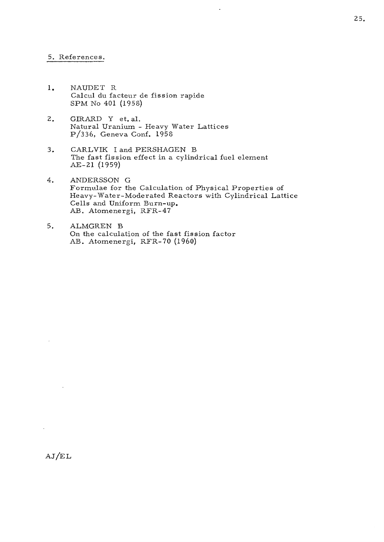#### 5. References.

- 1. NAUDET R Calcul du facteur de fission rapide SPM No 401 (1958)
- 2. GIRARD Y et. al. Natural Uranium - Heavy Water Lattices P/336, Geneva Conf. L958
- 3. CARLVIK I and PERSHAGEN B The fast fission effect in a cylindrical fuel element AE-21 (1959)
- 4. ANDERSSON G Formulae for the Calculation of Physical Properties of Heavy-Water-Mode rated Reactors with Cylindrical Lattice Cells and Uniform Burn-up, AB. Atomenergi, RFR-47

 $\ddot{\phantom{1}}$ 

5. ALMGREN B On the calculation of the fast fission factor AB. Atomenergi, RFR-70 (1960)

**25,**

AJ/EL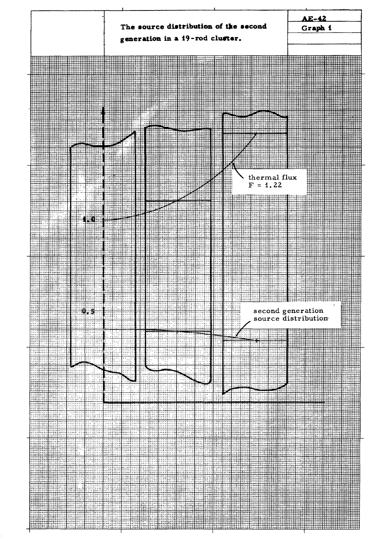